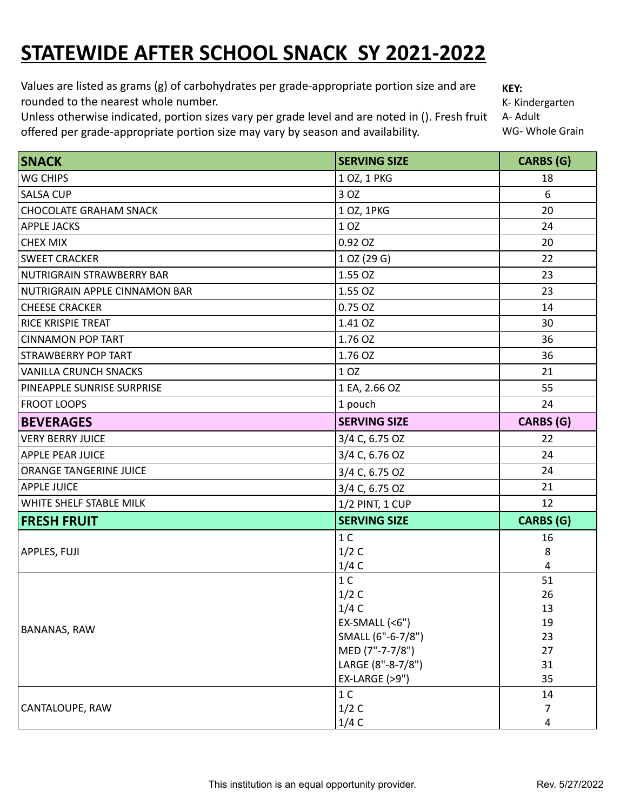## **STATEWIDE AFTER SCHOOL SNACK SY 2021-2022**

Values are listed as grams (g) of carbohydrates per grade-appropriate portion size and are rounded to the nearest whole number.

Unless otherwise indicated, portion sizes vary per grade level and are noted in (). Fresh fruit offered per grade-appropriate portion size may vary by season and availability.

**KEY:**

K- Kindergarten A- Adult WG- Whole Grain

| SNACK                                | <b>SERVING SIZE</b>      | <b>CARBS</b> (G) |
|--------------------------------------|--------------------------|------------------|
| <b>WG CHIPS</b>                      | 1 OZ, 1 PKG              | 18               |
| <b>SALSA CUP</b>                     | 3 OZ                     | 6                |
| <b>CHOCOLATE GRAHAM SNACK</b>        | 1 OZ, 1PKG               | 20               |
| <b>APPLE JACKS</b>                   | 1 OZ                     | 24               |
| <b>CHEX MIX</b>                      | 0.92 OZ                  | 20               |
| <b>SWEET CRACKER</b>                 | 1 OZ (29 G)              | 22               |
| <b>NUTRIGRAIN STRAWBERRY BAR</b>     | 1.55 OZ                  | 23               |
| <b>NUTRIGRAIN APPLE CINNAMON BAR</b> | 1.55 OZ                  | 23               |
| <b>CHEESE CRACKER</b>                | 0.75 OZ                  | 14               |
| <b>RICE KRISPIE TREAT</b>            | 1.41 OZ                  | 30               |
| <b>CINNAMON POP TART</b>             | 1.76 OZ                  | 36               |
| <b>STRAWBERRY POP TART</b>           | 1.76 OZ                  | 36               |
| <b>VANILLA CRUNCH SNACKS</b>         | 1 OZ                     | 21               |
| PINEAPPLE SUNRISE SURPRISE           | 1 EA, 2.66 OZ            | 55               |
| <b>FROOT LOOPS</b>                   | 1 pouch                  | 24               |
| <b>BEVERAGES</b>                     | <b>SERVING SIZE</b>      | <b>CARBS</b> (G) |
| <b>VERY BERRY JUICE</b>              | 3/4 C, 6.75 OZ           | 22               |
| <b>APPLE PEAR JUICE</b>              | 3/4 C, 6.76 OZ           | 24               |
| ORANGE TANGERINE JUICE               | 3/4 C, 6.75 OZ           | 24               |
| <b>APPLE JUICE</b>                   | 3/4 C, 6.75 OZ           | 21               |
| WHITE SHELF STABLE MILK              | 1/2 PINT, 1 CUP          | 12               |
| <b>FRESH FRUIT</b>                   | <b>SERVING SIZE</b>      | <b>CARBS (G)</b> |
| <b>APPLES, FUJI</b>                  | 1 <sup>C</sup>           | 16               |
|                                      | 1/2C                     | 8                |
|                                      | 1/4C                     | $\overline{4}$   |
|                                      | 1 <sup>C</sup>           | 51               |
|                                      | 1/2C                     | 26               |
|                                      | 1/4C                     | 13               |
| <b>BANANAS, RAW</b>                  | $EX-SMALL$ (<6")         | 19               |
|                                      | SMALL (6"-6-7/8")        | 23               |
|                                      | MED (7"-7-7/8")          | 27               |
|                                      | LARGE (8"-8-7/8")        | 31               |
|                                      | <b>EX-LARGE (&gt;9")</b> | 35               |
|                                      | 1 <sup>C</sup>           | 14               |
| CANTALOUPE, RAW                      | 1/2C                     | 7                |
|                                      | 1/4C                     | 4                |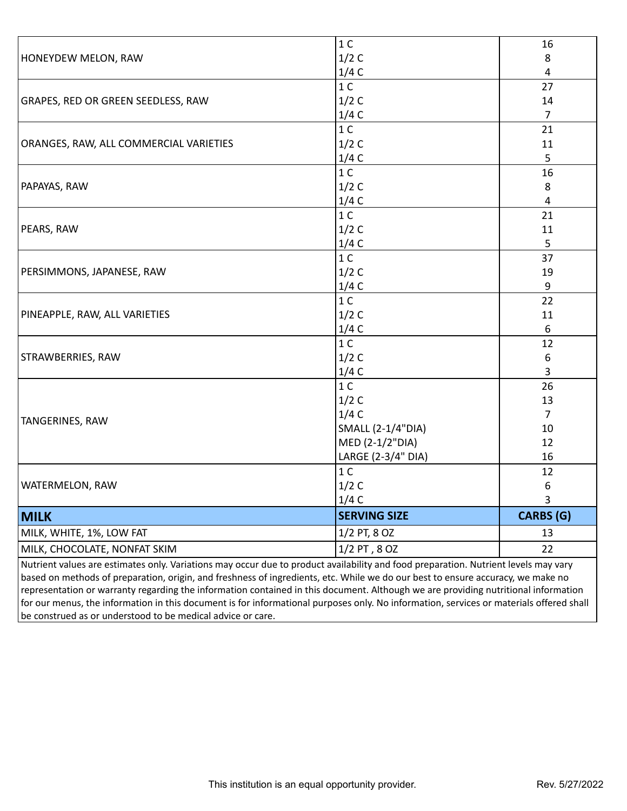|                                                                                                                                     | 1 <sup>C</sup>      | 16               |
|-------------------------------------------------------------------------------------------------------------------------------------|---------------------|------------------|
| HONEYDEW MELON, RAW                                                                                                                 | 1/2C                | 8                |
|                                                                                                                                     | 1/4C                | 4                |
|                                                                                                                                     | 1 <sup>C</sup>      | 27               |
| <b>GRAPES, RED OR GREEN SEEDLESS, RAW</b>                                                                                           | 1/2C                | 14               |
| ORANGES, RAW, ALL COMMERCIAL VARIETIES                                                                                              | 1/4C                | $\overline{7}$   |
|                                                                                                                                     | 1 <sup>C</sup>      | 21               |
|                                                                                                                                     | 1/2C                | 11               |
| PAPAYAS, RAW                                                                                                                        | 1/4C                | 5                |
|                                                                                                                                     | 1 <sup>C</sup>      | 16               |
|                                                                                                                                     | 1/2C                | 8                |
|                                                                                                                                     | 1/4C                | 4                |
|                                                                                                                                     | 1 <sup>C</sup>      | 21               |
| PEARS, RAW                                                                                                                          | 1/2C                | 11               |
|                                                                                                                                     | 1/4C                | 5                |
|                                                                                                                                     | 1 <sup>C</sup>      | 37               |
| PERSIMMONS, JAPANESE, RAW                                                                                                           | 1/2C                | 19               |
| <b>PINEAPPLE, RAW, ALL VARIETIES</b>                                                                                                | 1/4C                | 9                |
|                                                                                                                                     | 1 <sup>C</sup>      | 22               |
|                                                                                                                                     | 1/2C                | 11               |
| STRAWBERRIES, RAW                                                                                                                   | 1/4C                | 6                |
|                                                                                                                                     | 1 <sup>C</sup>      | 12               |
|                                                                                                                                     | 1/2C                | $\boldsymbol{6}$ |
| TANGERINES, RAW                                                                                                                     | 1/4C                | 3                |
|                                                                                                                                     | 1 <sup>C</sup>      | 26               |
|                                                                                                                                     | 1/2C                | 13               |
|                                                                                                                                     | 1/4C                | $\overline{7}$   |
|                                                                                                                                     | SMALL (2-1/4"DIA)   | 10               |
|                                                                                                                                     | MED (2-1/2"DIA)     | 12               |
| <b>WATERMELON, RAW</b>                                                                                                              | LARGE (2-3/4" DIA)  | 16               |
|                                                                                                                                     | 1 <sup>C</sup>      | 12               |
|                                                                                                                                     | 1/2C                | 6                |
|                                                                                                                                     | 1/4C                | 3                |
| <b>MILK</b>                                                                                                                         | <b>SERVING SIZE</b> | <b>CARBS</b> (G) |
| MILK, WHITE, 1%, LOW FAT                                                                                                            | 1/2 PT, 8 OZ        | 13               |
| MILK, CHOCOLATE, NONFAT SKIM                                                                                                        | 1/2 PT, 8 OZ        | 22               |
| Nutrient values are estimates only. Variations may occur due to product availability and food preparation. Nutrient levels may vary |                     |                  |
| $ $ based on methods of preparation, origin, and freshness of ingredients, etc. While we do our best to ensure accuracy, we make no |                     |                  |

preparation, origin, and freshness of ingredients, etc. While we do our best to ensure accuracy, representation or warranty regarding the information contained in this document. Although we are providing nutritional information for our menus, the information in this document is for informational purposes only. No information, services or materials offered shall be construed as or understood to be medical advice or care.